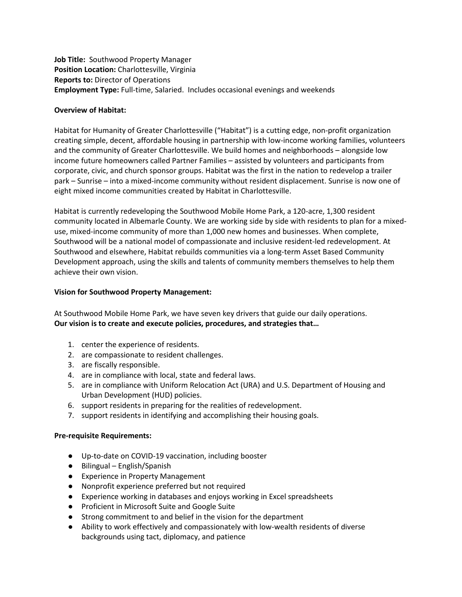**Job Title:** Southwood Property Manager **Position Location:** Charlottesville, Virginia **Reports to:** Director of Operations Employment Type: Full-time, Salaried. Includes occasional evenings and weekends

## **Overview of Habitat:**

Habitat for Humanity of Greater Charlottesville ("Habitat") is a cutting edge, non‐profit organization creating simple, decent, affordable housing in partnership with low-income working families, volunteers and the community of Greater Charlottesville. We build homes and neighborhoods – alongside low income future homeowners called Partner Families – assisted by volunteers and participants from corporate, civic, and church sponsor groups. Habitat was the first in the nation to redevelop a trailer park – Sunrise – into a mixed-income community without resident displacement. Sunrise is now one of eight mixed income communities created by Habitat in Charlottesville.

Habitat is currently redeveloping the Southwood Mobile Home Park, a 120-acre, 1,300 resident community located in Albemarle County. We are working side by side with residents to plan for a mixeduse, mixed-income community of more than 1,000 new homes and businesses. When complete, Southwood will be a national model of compassionate and inclusive resident-led redevelopment. At Southwood and elsewhere, Habitat rebuilds communities via a long-term Asset Based Community Development approach, using the skills and talents of community members themselves to help them achieve their own vision.

## **Vision for Southwood Property Management:**

At Southwood Mobile Home Park, we have seven key drivers that guide our daily operations. **Our vision is to create and execute policies, procedures, and strategies that…**

- 1. center the experience of residents.
- 2. are compassionate to resident challenges.
- 3. are fiscally responsible.
- 4. are in compliance with local, state and federal laws.
- 5. are in compliance with Uniform Relocation Act (URA) and U.S. Department of Housing and Urban Development (HUD) policies.
- 6. support residents in preparing for the realities of redevelopment.
- 7. support residents in identifying and accomplishing their housing goals.

#### **Pre-requisite Requirements:**

- Up-to-date on COVID-19 vaccination, including booster
- Bilingual English/Spanish
- Experience in Property Management
- Nonprofit experience preferred but not required
- Experience working in databases and enjoys working in Excel spreadsheets
- Proficient in Microsoft Suite and Google Suite
- Strong commitment to and belief in the vision for the department
- Ability to work effectively and compassionately with low-wealth residents of diverse backgrounds using tact, diplomacy, and patience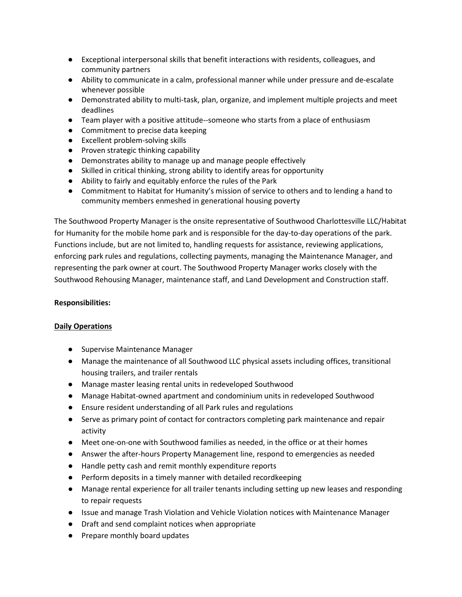- Exceptional interpersonal skills that benefit interactions with residents, colleagues, and community partners
- Ability to communicate in a calm, professional manner while under pressure and de-escalate whenever possible
- Demonstrated ability to multi-task, plan, organize, and implement multiple projects and meet deadlines
- Team player with a positive attitude--someone who starts from a place of enthusiasm
- Commitment to precise data keeping
- Excellent problem-solving skills
- Proven strategic thinking capability
- Demonstrates ability to manage up and manage people effectively
- Skilled in critical thinking, strong ability to identify areas for opportunity
- Ability to fairly and equitably enforce the rules of the Park
- Commitment to Habitat for Humanity's mission of service to others and to lending a hand to community members enmeshed in generational housing poverty

The Southwood Property Manager is the onsite representative of Southwood Charlottesville LLC/Habitat for Humanity for the mobile home park and is responsible for the day-to-day operations of the park. Functions include, but are not limited to, handling requests for assistance, reviewing applications, enforcing park rules and regulations, collecting payments, managing the Maintenance Manager, and representing the park owner at court. The Southwood Property Manager works closely with the Southwood Rehousing Manager, maintenance staff, and Land Development and Construction staff.

#### **Responsibilities:**

#### **Daily Operations**

- Supervise Maintenance Manager
- Manage the maintenance of all Southwood LLC physical assets including offices, transitional housing trailers, and trailer rentals
- Manage master leasing rental units in redeveloped Southwood
- Manage Habitat-owned apartment and condominium units in redeveloped Southwood
- Ensure resident understanding of all Park rules and regulations
- Serve as primary point of contact for contractors completing park maintenance and repair activity
- Meet one-on-one with Southwood families as needed, in the office or at their homes
- Answer the after-hours Property Management line, respond to emergencies as needed
- Handle petty cash and remit monthly expenditure reports
- Perform deposits in a timely manner with detailed recordkeeping
- Manage rental experience for all trailer tenants including setting up new leases and responding to repair requests
- Issue and manage Trash Violation and Vehicle Violation notices with Maintenance Manager
- Draft and send complaint notices when appropriate
- Prepare monthly board updates